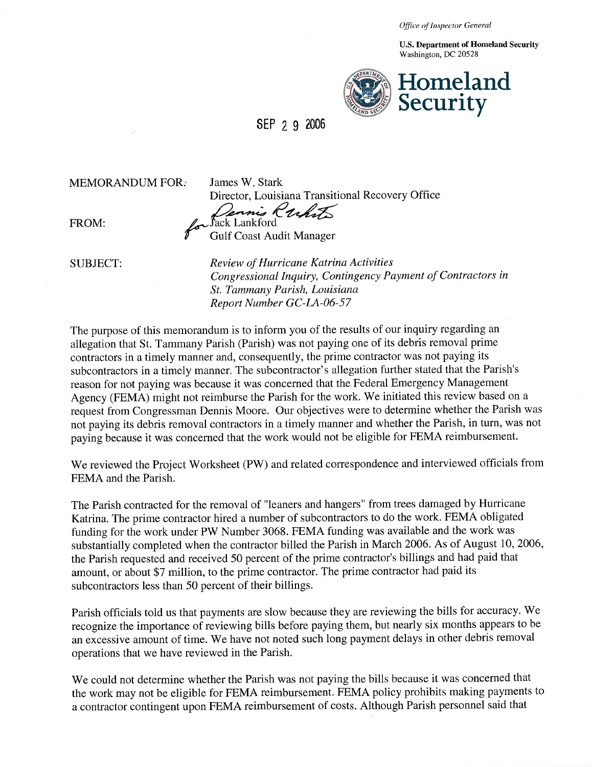*Office of Inspector General* 

U.S. Department of Homeland Security Washington, DC 20528



SEP 2 9 2006

MEMORANDUM FOR:

James W. Stark Director, Louisiana Transitional Recovery Office Dennis Ruhrts

FROM:

**Gulf Coast Audit Manager** 

SUBJECT: *Review of Hurricane Katrina Activities Congressional Inquiry, Contingency Payment of Contractors in St. Tammany Parish, Louisiana Report Number GC-LA-06-57* 

The purpose of this memorandum is to inform you of the results of our inquiry regarding an allegation that St. Tammany Parish (Parish) was not paying one of its debris removal prime contractors in a timely manner and, consequently, the prime contractor was not paying its subcontractors in a timely manner. The subcontractor's allegation further stated that the Parish's reason for not paying was because it was concerned that the Federal Emergency Management Agency (FEMA) might not reimburse the Parish for the work. We initiated this review based on a request from Congressman Dennis Moore. Our objectives were to determine whether the Parish was not paying its debris removal contractors in a timely manner and whether the Parish, in turn, was not paying because it was concerned that the work would not be eligible for FEMA reimbursement.

We reviewed the Project Worksheet (PW) and related correspondence and interviewed officials from FEMA and the Parish.

The Parish contracted for the removal of "leaners and hangers" from trees damaged by Hurricane Katrina. The prime contractor hired a number of subcontractors to do the work. FEMA obligated funding for the work under PW Number 3068. FEMA funding was available and the work was substantially completed when the contractor billed the Parish in March 2006. As of August 10, 2006, the Parish requested and received 50 percent of the prime contractor's billings and had paid that amount, or about \$7 million, to the prime contractor. The prime contractor had paid its subcontractors less than 50 percent of their billings.

Parish officials told us that payments are slow because they are reviewing the bills for accuracy. We recognize the importance of reviewing bills before paying them, but nearly six months appears to be an excessive amount of time. We have not noted such long payment delays in other debris removal operations that we have reviewed in the Parish.

We could not determine whether the Parish was not paying the bills because it was concerned that the work may not be eligible for FEMA reimbursement. FEMA policy prohibits making payments to a contractor contingent upon FEMA reimbursement of costs. Although Parish personnel said that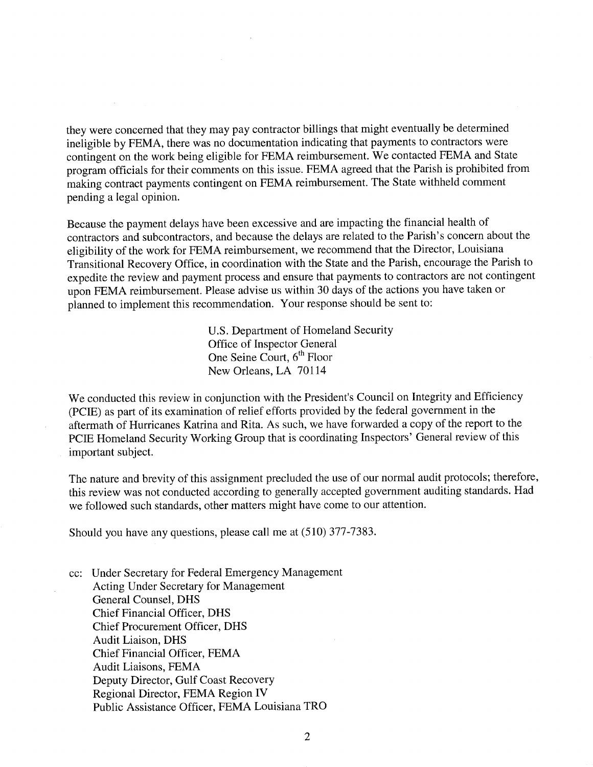they were concerned that they may pay contractor billings that might eventually be determined ineligible by FEMA, there was no documentation indicating that payments to contractors were contingent on the work being eligible for FEMA reimbursement. We contacted FEMA and State program officials for their comments on this issue. FEMA agreed that the Parish is prohibited from making contract payments contingent on FEMA reimbursement. The State withheld comment pending a legal opinion.

Because the payment delays have been excessive and are impacting the financial health of contractors and subcontractors, and because the delays are related to the Parish's concern about the eligibility of the work for FEMA reimbursement, we recommend that the Director, Louisiana Transitional Recovery Office, in coordination with the State and the Parish, encourage the Parish to expedite the review and payment process and ensure that payments to contractors are not contingent upon FEMA reimbursement. Please advise us within 30 days of the actions you have taken or planned to implement this recommendation. Your response should be sent to:

> U.S. Department of Homeland Security Office of Inspector General One Seine Court, 6<sup>th</sup> Floor New Orleans, LA 70114

We conducted this review in conjunction with the President's Council on Integrity and Efficiency (PCIE) as part of its examination of relief efforts provided by the federal government in the aftermath of Hurricanes Katrina and Rita. As such, we have forwarded a copy of the report to the PCIE Homeland Security Working Group that is coordinating Inspectors' General review of this important subject.

The nature and brevity of this assignment precluded the use of our normal audit protocols; therefore, this review was not conducted according to generally accepted government auditing standards. Had we followed such standards, other matters might have come to our attention.

Should you have any questions, please call me at (510) 377-7383.

cc: Under Secretary for Federal Emergency Management **Acting Under Secretary for Management** General Counsel, DHS **Chief Financial Officer, DHS** Chief Procurement Officer, DHS Audit Liaison, DHS Chief Financial Officer, FEMA Audit Liaisons, FEMA Deputy Director, Gulf Coast Recovery Regional Director, FEMA Region IV Public Assistance Officer, FEMA Louisiana TRO